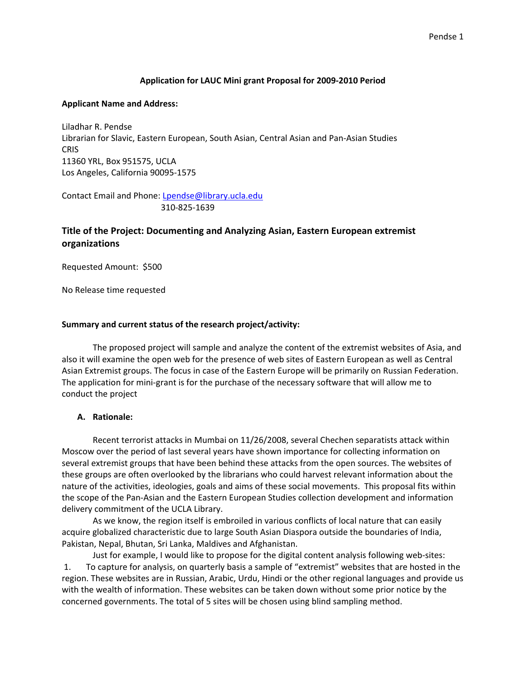### **Application for LAUC Mini grant Proposal for 2009‐2010 Period**

#### **Applicant Name and Address:**

Liladhar R. Pendse Librarian for Slavic, Eastern European, South Asian, Central Asian and Pan‐Asian Studies **CRIS** 11360 YRL, Box 951575, UCLA Los Angeles, California 90095‐1575

Contact Email and Phone: Lpendse@library.ucla.edu 310‐825‐1639

### **Title of the Project: Documenting and Analyzing Asian, Eastern European extremist organizations**

Requested Amount: \$500

No Release time requested

#### **Summary and current status of the research project/activity:**

The proposed project will sample and analyze the content of the extremist websites of Asia, and also it will examine the open web for the presence of web sites of Eastern European as well as Central Asian Extremist groups. The focus in case of the Eastern Europe will be primarily on Russian Federation. The application for mini‐grant is for the purchase of the necessary software that will allow me to conduct the project

### **A. Rationale:**

Recent terrorist attacks in Mumbai on 11/26/2008, several Chechen separatists attack within Moscow over the period of last several years have shown importance for collecting information on several extremist groups that have been behind these attacks from the open sources. The websites of these groups are often overlooked by the librarians who could harvest relevant information about the nature of the activities, ideologies, goals and aims of these social movements. This proposal fits within the scope of the Pan‐Asian and the Eastern European Studies collection development and information delivery commitment of the UCLA Library.

As we know, the region itself is embroiled in various conflicts of local nature that can easily acquire globalized characteristic due to large South Asian Diaspora outside the boundaries of India, Pakistan, Nepal, Bhutan, Sri Lanka, Maldives and Afghanistan.

 Just for example, I would like to propose for the digital content analysis following web‐sites: 1. To capture for analysis, on quarterly basis a sample of "extremist" websites that are hosted in the region. These websites are in Russian, Arabic, Urdu, Hindi or the other regional languages and provide us with the wealth of information. These websites can be taken down without some prior notice by the concerned governments. The total of 5 sites will be chosen using blind sampling method.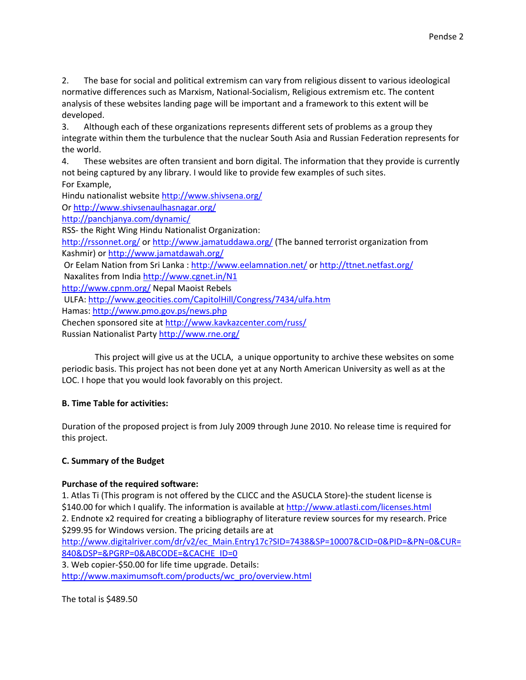2. The base for social and political extremism can vary from religious dissent to various ideological normative differences such as Marxism, National‐Socialism, Religious extremism etc. The content analysis of these websites landing page will be important and a framework to this extent will be developed.

3. Although each of these organizations represents different sets of problems as a group they integrate within them the turbulence that the nuclear South Asia and Russian Federation represents for the world.

4. These websites are often transient and born digital. The information that they provide is currently not being captured by any library. I would like to provide few examples of such sites. For Example,

Hindu nationalist website http://www.shivsena.org/

Or http://www.shivsenaulhasnagar.org/

http://panchjanya.com/dynamic/

RSS‐ the Right Wing Hindu Nationalist Organization:

http://rssonnet.org/ or http://www.jamatuddawa.org/ (The banned terrorist organization from Kashmir) or http://www.jamatdawah.org/

Or Eelam Nation from Sri Lanka : http://www.eelamnation.net/ or http://ttnet.netfast.org/ Naxalites from India http://www.cgnet.in/N1

http://www.cpnm.org/ Nepal Maoist Rebels

ULFA: http://www.geocities.com/CapitolHill/Congress/7434/ulfa.htm

Hamas: http://www.pmo.gov.ps/news.php

Chechen sponsored site at http://www.kavkazcenter.com/russ/

Russian Nationalist Party http://www.rne.org/

This project will give us at the UCLA, a unique opportunity to archive these websites on some periodic basis. This project has not been done yet at any North American University as well as at the LOC. I hope that you would look favorably on this project.

# **B. Time Table for activities:**

Duration of the proposed project is from July 2009 through June 2010. No release time is required for this project.

# **C. Summary of the Budget**

# **Purchase of the required software:**

1. Atlas Ti (This program is not offered by the CLICC and the ASUCLA Store)‐the student license is \$140.00 for which I qualify. The information is available at http://www.atlasti.com/licenses.html 2. Endnote x2 required for creating a bibliography of literature review sources for my research. Price \$299.95 for Windows version. The pricing details are at

http://www.digitalriver.com/dr/v2/ec\_Main.Entry17c?SID=7438&SP=10007&CID=0&PID=&PN=0&CUR= 840&DSP=&PGRP=0&ABCODE=&CACHE\_ID=0

3. Web copier‐\$50.00 for life time upgrade. Details:

http://www.maximumsoft.com/products/wc\_pro/overview.html

The total is \$489.50